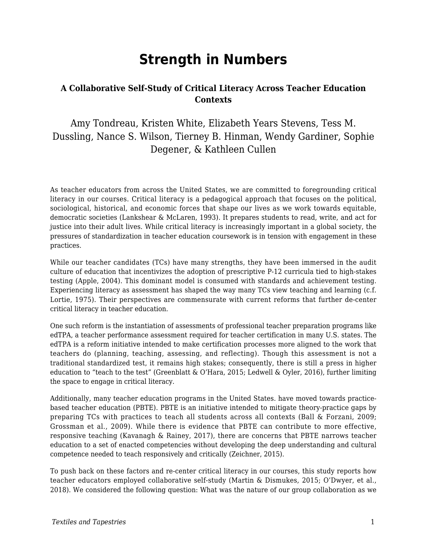# **Strength in Numbers**

### **A Collaborative Self-Study of Critical Literacy Across Teacher Education Contexts**

### Amy Tondreau, Kristen White, Elizabeth Years Stevens, Tess M. Dussling, Nance S. Wilson, Tierney B. Hinman, Wendy Gardiner, Sophie Degener, & Kathleen Cullen

As teacher educators from across the United States, we are committed to foregrounding critical literacy in our courses. Critical literacy is a pedagogical approach that focuses on the political, sociological, historical, and economic forces that shape our lives as we work towards equitable, democratic societies (Lankshear & McLaren, 1993). It prepares students to read, write, and act for justice into their adult lives. While critical literacy is increasingly important in a global society, the pressures of standardization in teacher education coursework is in tension with engagement in these practices.

While our teacher candidates (TCs) have many strengths, they have been immersed in the audit culture of education that incentivizes the adoption of prescriptive P-12 curricula tied to high-stakes testing (Apple, 2004). This dominant model is consumed with standards and achievement testing. Experiencing literacy as assessment has shaped the way many TCs view teaching and learning (c.f. Lortie, 1975). Their perspectives are commensurate with current reforms that further de-center critical literacy in teacher education.

One such reform is the instantiation of assessments of professional teacher preparation programs like edTPA, a teacher performance assessment required for teacher certification in many U.S. states. The edTPA is a reform initiative intended to make certification processes more aligned to the work that teachers do (planning, teaching, assessing, and reflecting). Though this assessment is not a traditional standardized test, it remains high stakes; consequently, there is still a press in higher education to "teach to the test" (Greenblatt & O'Hara, 2015; Ledwell & Oyler, 2016), further limiting the space to engage in critical literacy.

Additionally, many teacher education programs in the United States. have moved towards practicebased teacher education (PBTE). PBTE is an initiative intended to mitigate theory-practice gaps by preparing TCs with practices to teach all students across all contexts (Ball & Forzani, 2009; Grossman et al., 2009). While there is evidence that PBTE can contribute to more effective, responsive teaching (Kavanagh & Rainey, 2017), there are concerns that PBTE narrows teacher education to a set of enacted competencies without developing the deep understanding and cultural competence needed to teach responsively and critically (Zeichner, 2015).

To push back on these factors and re-center critical literacy in our courses, this study reports how teacher educators employed collaborative self-study (Martin & Dismukes, 2015; O'Dwyer, et al., 2018). We considered the following question: What was the nature of our group collaboration as we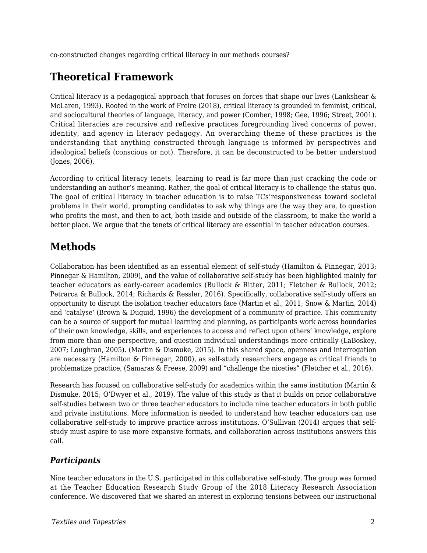co-constructed changes regarding critical literacy in our methods courses?

# **Theoretical Framework**

Critical literacy is a pedagogical approach that focuses on forces that shape our lives (Lankshear & McLaren, 1993). Rooted in the work of Freire (2018), critical literacy is grounded in feminist, critical, and sociocultural theories of language, literacy, and power (Comber, 1998; Gee, 1996; Street, 2001). Critical literacies are recursive and reflexive practices foregrounding lived concerns of power, identity, and agency in literacy pedagogy. An overarching theme of these practices is the understanding that anything constructed through language is informed by perspectives and ideological beliefs (conscious or not). Therefore, it can be deconstructed to be better understood (Jones, 2006).

According to critical literacy tenets, learning to read is far more than just cracking the code or understanding an author's meaning. Rather, the goal of critical literacy is to challenge the status quo. The goal of critical literacy in teacher education is to raise TCs'responsiveness toward societal problems in their world, prompting candidates to ask why things are the way they are, to question who profits the most, and then to act, both inside and outside of the classroom, to make the world a better place. We argue that the tenets of critical literacy are essential in teacher education courses.

# **Methods**

Collaboration has been identified as an essential element of self-study (Hamilton & Pinnegar, 2013; Pinnegar & Hamilton, 2009), and the value of collaborative self-study has been highlighted mainly for teacher educators as early-career academics (Bullock & Ritter, 2011; Fletcher & Bullock, 2012; Petrarca & Bullock, 2014; Richards & Ressler, 2016). Specifically, collaborative self-study offers an opportunity to disrupt the isolation teacher educators face (Martin et al., 2011; Snow & Martin, 2014) and 'catalyse' (Brown & Duguid, 1996) the development of a community of practice. This community can be a source of support for mutual learning and planning, as participants work across boundaries of their own knowledge, skills, and experiences to access and reflect upon others' knowledge, explore from more than one perspective, and question individual understandings more critically (LaBoskey, 2007; Loughran, 2005). (Martin & Dismuke, 2015). In this shared space, openness and interrogation are necessary (Hamilton & Pinnegar, 2000), as self-study researchers engage as critical friends to problematize practice, (Samaras & Freese, 2009) and "challenge the niceties" (Fletcher et al., 2016).

Research has focused on collaborative self-study for academics within the same institution (Martin & Dismuke, 2015; O'Dwyer et al., 2019). The value of this study is that it builds on prior collaborative self-studies between two or three teacher educators to include nine teacher educators in both public and private institutions. More information is needed to understand how teacher educators can use collaborative self-study to improve practice across institutions. O'Sullivan (2014) argues that selfstudy must aspire to use more expansive formats, and collaboration across institutions answers this call.

#### *Participants*

Nine teacher educators in the U.S. participated in this collaborative self-study. The group was formed at the Teacher Education Research Study Group of the 2018 Literacy Research Association conference. We discovered that we shared an interest in exploring tensions between our instructional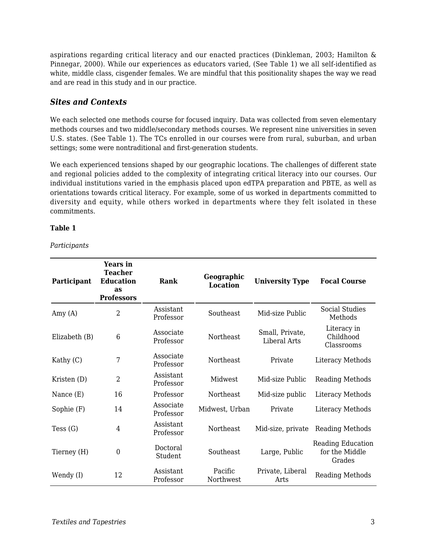aspirations regarding critical literacy and our enacted practices (Dinkleman, 2003; Hamilton & Pinnegar, 2000). While our experiences as educators varied, (See Table 1) we all self-identified as white, middle class, cisgender females. We are mindful that this positionality shapes the way we read and are read in this study and in our practice.

#### *Sites and Contexts*

We each selected one methods course for focused inquiry. Data was collected from seven elementary methods courses and two middle/secondary methods courses. We represent nine universities in seven U.S. states. (See Table 1). The TCs enrolled in our courses were from rural, suburban, and urban settings; some were nontraditional and first-generation students.

We each experienced tensions shaped by our geographic locations. The challenges of different state and regional policies added to the complexity of integrating critical literacy into our courses. Our individual institutions varied in the emphasis placed upon edTPA preparation and PBTE, as well as orientations towards critical literacy. For example, some of us worked in departments committed to diversity and equity, while others worked in departments where they felt isolated in these commitments.

#### **Table 1**

*Participants*

| Participant   | Years in<br><b>Teacher</b><br><b>Education</b><br>as<br><b>Professors</b> | Rank                   | Geographic<br><b>Location</b> | <b>University Type</b>                 | <b>Focal Course</b>                                  |
|---------------|---------------------------------------------------------------------------|------------------------|-------------------------------|----------------------------------------|------------------------------------------------------|
| Amy $(A)$     | 2                                                                         | Assistant<br>Professor | Southeast                     | Mid-size Public                        | <b>Social Studies</b><br>Methods                     |
| Elizabeth (B) | 6                                                                         | Associate<br>Professor | <b>Northeast</b>              | Small, Private,<br><b>Liberal Arts</b> | Literacy in<br>Childhood<br>Classrooms               |
| Kathy $(C)$   | 7                                                                         | Associate<br>Professor | Northeast                     | Private                                | Literacy Methods                                     |
| Kristen (D)   | $\overline{2}$                                                            | Assistant<br>Professor | Midwest                       | Mid-size Public                        | <b>Reading Methods</b>                               |
| Nance (E)     | 16                                                                        | Professor              | Northeast                     | Mid-size public                        | Literacy Methods                                     |
| Sophie (F)    | 14                                                                        | Associate<br>Professor | Midwest, Urban                | Private                                | Literacy Methods                                     |
| Tess $(G)$    | 4                                                                         | Assistant<br>Professor | Northeast                     | Mid-size, private                      | <b>Reading Methods</b>                               |
| Tierney (H)   | $\mathbf{0}$                                                              | Doctoral<br>Student    | Southeast                     | Large, Public                          | <b>Reading Education</b><br>for the Middle<br>Grades |
| Wendy (I)     | 12                                                                        | Assistant<br>Professor | Pacific<br>Northwest          | Private, Liberal<br><b>Arts</b>        | <b>Reading Methods</b>                               |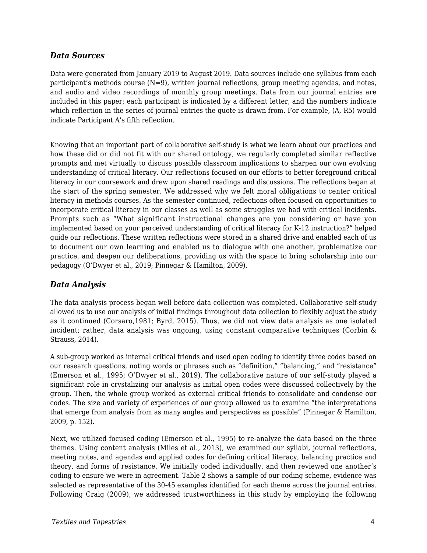#### *Data Sources*

Data were generated from January 2019 to August 2019. Data sources include one syllabus from each participant's methods course  $(N=9)$ , written journal reflections, group meeting agendas, and notes, and audio and video recordings of monthly group meetings. Data from our journal entries are included in this paper; each participant is indicated by a different letter, and the numbers indicate which reflection in the series of journal entries the quote is drawn from. For example, (A, R5) would indicate Participant A's fifth reflection.

Knowing that an important part of collaborative self-study is what we learn about our practices and how these did or did not fit with our shared ontology*,* we regularly completed similar reflective prompts and met virtually to discuss possible classroom implications to sharpen our own evolving understanding of critical literacy. Our reflections focused on our efforts to better foreground critical literacy in our coursework and drew upon shared readings and discussions. The reflections began at the start of the spring semester. We addressed why we felt moral obligations to center critical literacy in methods courses. As the semester continued, reflections often focused on opportunities to incorporate critical literacy in our classes as well as some struggles we had with critical incidents. Prompts such as "What significant instructional changes are you considering or have you implemented based on your perceived understanding of critical literacy for K-12 instruction?" helped guide our reflections. These written reflections were stored in a shared drive and enabled each of us to document our own learning and enabled us to dialogue with one another, problematize our practice, and deepen our deliberations, providing us with the space to bring scholarship into our pedagogy (O'Dwyer et al., 2019; Pinnegar & Hamilton, 2009).

#### *Data Analysis*

The data analysis process began well before data collection was completed. Collaborative self-study allowed us to use our analysis of initial findings throughout data collection to flexibly adjust the study as it continued (Corsaro,1981; Byrd, 2015). Thus, we did not view data analysis as one isolated incident; rather, data analysis was ongoing, using constant comparative techniques (Corbin & Strauss, 2014).

A sub-group worked as internal critical friends and used open coding to identify three codes based on our research questions, noting words or phrases such as "definition," "balancing," and "resistance" (Emerson et al., 1995; O'Dwyer et al., 2019). The collaborative nature of our self-study played a significant role in crystalizing our analysis as initial open codes were discussed collectively by the group. Then, the whole group worked as external critical friends to consolidate and condense our codes. The size and variety of experiences of our group allowed us to examine "the interpretations that emerge from analysis from as many angles and perspectives as possible" (Pinnegar & Hamilton, 2009, p. 152).

Next, we utilized focused coding (Emerson et al., 1995) to re-analyze the data based on the three themes. Using content analysis (Miles et al., 2013), we examined our syllabi, journal reflections, meeting notes, and agendas and applied codes for defining critical literacy, balancing practice and theory, and forms of resistance. We initially coded individually, and then reviewed one another's coding to ensure we were in agreement. Table 2 shows a sample of our coding scheme, evidence was selected as representative of the 30-45 examples identified for each theme across the journal entries. Following Craig (2009), we addressed trustworthiness in this study by employing the following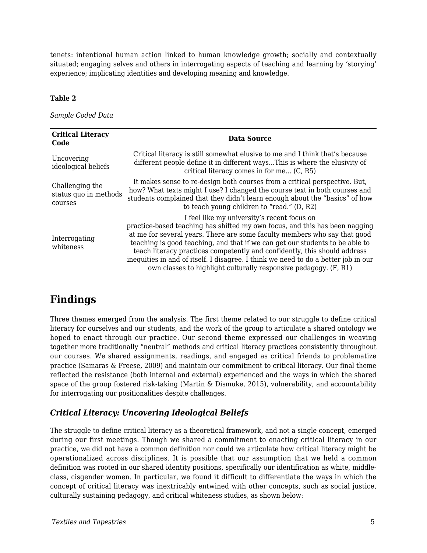tenets: intentional human action linked to human knowledge growth; socially and contextually situated; engaging selves and others in interrogating aspects of teaching and learning by 'storying' experience; implicating identities and developing meaning and knowledge.

#### **Table 2**

*Sample Coded Data*

| <b>Critical Literacy</b><br>Code                    | Data Source                                                                                                                                                                                                                                                                                                                                                                                                                                                                                                                    |
|-----------------------------------------------------|--------------------------------------------------------------------------------------------------------------------------------------------------------------------------------------------------------------------------------------------------------------------------------------------------------------------------------------------------------------------------------------------------------------------------------------------------------------------------------------------------------------------------------|
| Uncovering<br>ideological beliefs                   | Critical literacy is still somewhat elusive to me and I think that's because<br>different people define it in different waysThis is where the elusivity of<br>critical literacy comes in for me (C, R5)                                                                                                                                                                                                                                                                                                                        |
| Challenging the<br>status quo in methods<br>courses | It makes sense to re-design both courses from a critical perspective. But,<br>how? What texts might I use? I changed the course text in both courses and<br>students complained that they didn't learn enough about the "basics" of how<br>to teach young children to "read." (D, R2)                                                                                                                                                                                                                                          |
| Interrogating<br>whiteness                          | I feel like my university's recent focus on<br>practice-based teaching has shifted my own focus, and this has been nagging<br>at me for several years. There are some faculty members who say that good<br>teaching is good teaching, and that if we can get our students to be able to<br>teach literacy practices competently and confidently, this should address<br>inequities in and of itself. I disagree. I think we need to do a better job in our<br>own classes to highlight culturally responsive pedagogy. (F, R1) |

# **Findings**

Three themes emerged from the analysis. The first theme related to our struggle to define critical literacy for ourselves and our students, and the work of the group to articulate a shared ontology we hoped to enact through our practice. Our second theme expressed our challenges in weaving together more traditionally "neutral" methods and critical literacy practices consistently throughout our courses. We shared assignments, readings, and engaged as critical friends to problematize practice (Samaras & Freese, 2009) and maintain our commitment to critical literacy. Our final theme reflected the resistance (both internal and external) experienced and the ways in which the shared space of the group fostered risk-taking (Martin & Dismuke, 2015), vulnerability, and accountability for interrogating our positionalities despite challenges.

### *Critical Literacy: Uncovering Ideological Beliefs*

The struggle to define critical literacy as a theoretical framework, and not a single concept, emerged during our first meetings. Though we shared a commitment to enacting critical literacy in our practice, we did not have a common definition nor could we articulate how critical literacy might be operationalized across disciplines. It is possible that our assumption that we held a common definition was rooted in our shared identity positions, specifically our identification as white, middleclass, cisgender women. In particular, we found it difficult to differentiate the ways in which the concept of critical literacy was inextricably entwined with other concepts, such as social justice, culturally sustaining pedagogy, and critical whiteness studies, as shown below: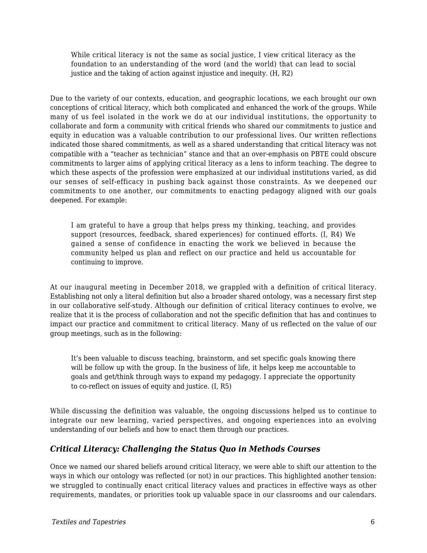While critical literacy is not the same as social justice, I view critical literacy as the foundation to an understanding of the word (and the world) that can lead to social justice and the taking of action against injustice and inequity. (H, R2)

Due to the variety of our contexts, education, and geographic locations, we each brought our own conceptions of critical literacy, which both complicated and enhanced the work of the groups. While many of us feel isolated in the work we do at our individual institutions, the opportunity to collaborate and form a community with critical friends who shared our commitments to justice and equity in education was a valuable contribution to our professional lives. Our written reflections indicated those shared commitments, as well as a shared understanding that critical literacy was not compatible with a "teacher as technician" stance and that an over-emphasis on PBTE could obscure commitments to larger aims of applying critical literacy as a lens to inform teaching. The degree to which these aspects of the profession were emphasized at our individual institutions varied, as did our senses of self-efficacy in pushing back against those constraints. As we deepened our commitments to one another, our commitments to enacting pedagogy aligned with our goals deepened. For example:

I am grateful to have a group that helps press my thinking, teaching, and provides support (resources, feedback, shared experiences) for continued efforts. (I, R4) We gained a sense of confidence in enacting the work we believed in because the community helped us plan and reflect on our practice and held us accountable for continuing to improve.

At our inaugural meeting in December 2018, we grappled with a definition of critical literacy. Establishing not only a literal definition but also a broader shared ontology, was a necessary first step in our collaborative self-study. Although our definition of critical literacy continues to evolve, we realize that it is the process of collaboration and not the specific definition that has and continues to impact our practice and commitment to critical literacy. Many of us reflected on the value of our group meetings, such as in the following:

It's been valuable to discuss teaching, brainstorm, and set specific goals knowing there will be follow up with the group. In the business of life, it helps keep me accountable to goals and get/think through ways to expand my pedagogy. I appreciate the opportunity to co-reflect on issues of equity and justice. (I, R5)

While discussing the definition was valuable, the ongoing discussions helped us to continue to integrate our new learning, varied perspectives, and ongoing experiences into an evolving understanding of our beliefs and how to enact them through our practices.

#### *Critical Literacy: Challenging the Status Quo in Methods Courses*

Once we named our shared beliefs around critical literacy, we were able to shift our attention to the ways in which our ontology was reflected (or not) in our practices. This highlighted another tension: we struggled to continually enact critical literacy values and practices in effective ways as other requirements, mandates, or priorities took up valuable space in our classrooms and our calendars.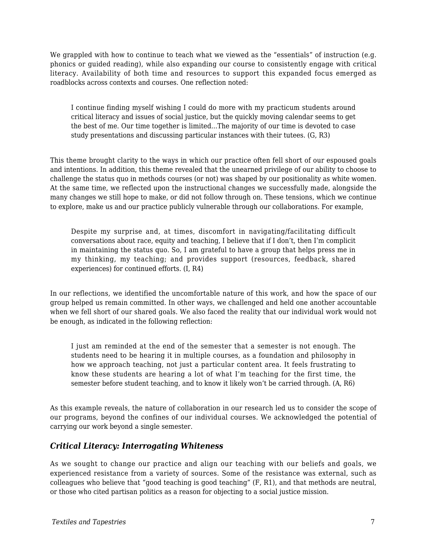We grappled with how to continue to teach what we viewed as the "essentials" of instruction (e.g. phonics or guided reading), while also expanding our course to consistently engage with critical literacy. Availability of both time and resources to support this expanded focus emerged as roadblocks across contexts and courses. One reflection noted:

I continue finding myself wishing I could do more with my practicum students around critical literacy and issues of social justice, but the quickly moving calendar seems to get the best of me. Our time together is limited...The majority of our time is devoted to case study presentations and discussing particular instances with their tutees. (G, R3)

This theme brought clarity to the ways in which our practice often fell short of our espoused goals and intentions. In addition, this theme revealed that the unearned privilege of our ability to choose to challenge the status quo in methods courses (or not) was shaped by our positionality as white women. At the same time, we reflected upon the instructional changes we successfully made, alongside the many changes we still hope to make, or did not follow through on. These tensions, which we continue to explore, make us and our practice publicly vulnerable through our collaborations. For example,

Despite my surprise and, at times, discomfort in navigating/facilitating difficult conversations about race, equity and teaching, I believe that if I don't, then I'm complicit in maintaining the status quo. So, I am grateful to have a group that helps press me in my thinking, my teaching; and provides support (resources, feedback, shared experiences) for continued efforts. (I, R4)

In our reflections, we identified the uncomfortable nature of this work, and how the space of our group helped us remain committed. In other ways, we challenged and held one another accountable when we fell short of our shared goals. We also faced the reality that our individual work would not be enough, as indicated in the following reflection:

I just am reminded at the end of the semester that a semester is not enough. The students need to be hearing it in multiple courses, as a foundation and philosophy in how we approach teaching, not just a particular content area. It feels frustrating to know these students are hearing a lot of what I'm teaching for the first time, the semester before student teaching, and to know it likely won't be carried through. (A, R6)

As this example reveals, the nature of collaboration in our research led us to consider the scope of our programs, beyond the confines of our individual courses. We acknowledged the potential of carrying our work beyond a single semester.

#### *Critical Literacy: Interrogating Whiteness*

As we sought to change our practice and align our teaching with our beliefs and goals, we experienced resistance from a variety of sources. Some of the resistance was external, such as colleagues who believe that "good teaching is good teaching" (F, R1), and that methods are neutral, or those who cited partisan politics as a reason for objecting to a social justice mission.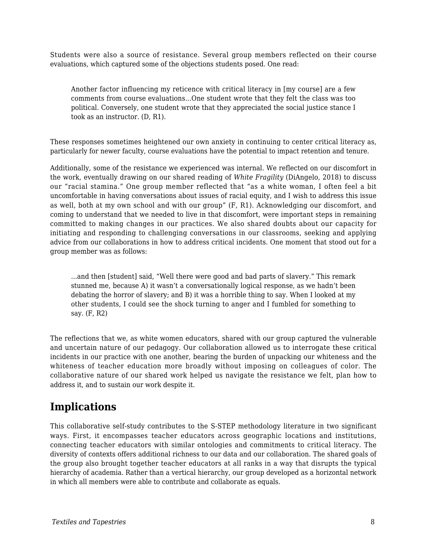Students were also a source of resistance. Several group members reflected on their course evaluations, which captured some of the objections students posed. One read:

Another factor influencing my reticence with critical literacy in [my course] are a few comments from course evaluations...One student wrote that they felt the class was too political. Conversely, one student wrote that they appreciated the social justice stance I took as an instructor. (D, R1).

These responses sometimes heightened our own anxiety in continuing to center critical literacy as, particularly for newer faculty, course evaluations have the potential to impact retention and tenure.

Additionally, some of the resistance we experienced was internal. We reflected on our discomfort in the work, eventually drawing on our shared reading of *White Fragility* (DiAngelo, 2018) to discuss our "racial stamina." One group member reflected that "as a white woman, I often feel a bit uncomfortable in having conversations about issues of racial equity, and I wish to address this issue as well, both at my own school and with our group" (F, R1). Acknowledging our discomfort, and coming to understand that we needed to live in that discomfort, were important steps in remaining committed to making changes in our practices. We also shared doubts about our capacity for initiating and responding to challenging conversations in our classrooms, seeking and applying advice from our collaborations in how to address critical incidents. One moment that stood out for a group member was as follows:

...and then [student] said, "Well there were good and bad parts of slavery." This remark stunned me, because A) it wasn't a conversationally logical response, as we hadn't been debating the horror of slavery; and B) it was a horrible thing to say. When I looked at my other students, I could see the shock turning to anger and I fumbled for something to say. (F, R2)

The reflections that we, as white women educators, shared with our group captured the vulnerable and uncertain nature of our pedagogy. Our collaboration allowed us to interrogate these critical incidents in our practice with one another, bearing the burden of unpacking our whiteness and the whiteness of teacher education more broadly without imposing on colleagues of color. The collaborative nature of our shared work helped us navigate the resistance we felt, plan how to address it, and to sustain our work despite it.

### **Implications**

This collaborative self-study contributes to the S-STEP methodology literature in two significant ways. First, it encompasses teacher educators across geographic locations and institutions, connecting teacher educators with similar ontologies and commitments to critical literacy. The diversity of contexts offers additional richness to our data and our collaboration. The shared goals of the group also brought together teacher educators at all ranks in a way that disrupts the typical hierarchy of academia. Rather than a vertical hierarchy, our group developed as a horizontal network in which all members were able to contribute and collaborate as equals.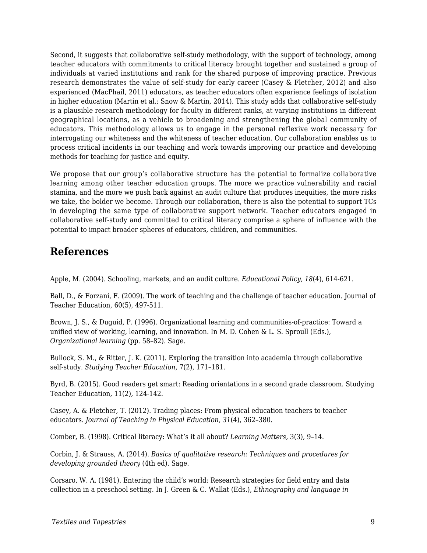Second, it suggests that collaborative self-study methodology, with the support of technology, among teacher educators with commitments to critical literacy brought together and sustained a group of individuals at varied institutions and rank for the shared purpose of improving practice. Previous research demonstrates the value of self-study for early career (Casey & Fletcher, 2012) and also experienced (MacPhail, 2011) educators, as teacher educators often experience feelings of isolation in higher education (Martin et al.; Snow & Martin, 2014). This study adds that collaborative self-study is a plausible research methodology for faculty in different ranks, at varying institutions in different geographical locations, as a vehicle to broadening and strengthening the global community of educators. This methodology allows us to engage in the personal reflexive work necessary for interrogating our whiteness and the whiteness of teacher education. Our collaboration enables us to process critical incidents in our teaching and work towards improving our practice and developing methods for teaching for justice and equity.

We propose that our group's collaborative structure has the potential to formalize collaborative learning among other teacher education groups. The more we practice vulnerability and racial stamina, and the more we push back against an audit culture that produces inequities, the more risks we take, the bolder we become. Through our collaboration, there is also the potential to support TCs in developing the same type of collaborative support network. Teacher educators engaged in collaborative self-study and committed to critical literacy comprise a sphere of influence with the potential to impact broader spheres of educators, children, and communities.

### **References**

Apple, M. (2004). Schooling, markets, and an audit culture. *Educational Policy, 18*(4), 614-621.

Ball, D., & Forzani, F. (2009). The work of teaching and the challenge of teacher education. Journal of Teacher Education, 60(5), 497-511.

Brown, J. S., & Duguid, P. (1996). Organizational learning and communities-of-practice: Toward a unified view of working, learning, and innovation. In M. D. Cohen & L. S. Sproull (Eds.), *Organizational learning* (pp. 58–82). Sage.

Bullock, S. M., & Ritter, J. K. (2011). Exploring the transition into academia through collaborative self-study. *Studying Teacher Education,* 7(2), 171–181.

Byrd, B. (2015). Good readers get smart: Reading orientations in a second grade classroom. Studying Teacher Education, 11(2), 124-142.

Casey, A. & Fletcher, T. (2012). Trading places: From physical education teachers to teacher educators. *Journal of Teaching in Physical Education, 31*(4), 362–380.

Comber, B. (1998). Critical literacy: What's it all about? *Learning Matters,* 3(3), 9–14.

Corbin, J. & Strauss, A. (2014). *Basics of qualitative research: Techniques and procedures for developing grounded theory* (4th ed). Sage.

Corsaro, W. A. (1981). Entering the child's world: Research strategies for field entry and data collection in a preschool setting. In J. Green & C. Wallat (Eds.), *Ethnography and language in*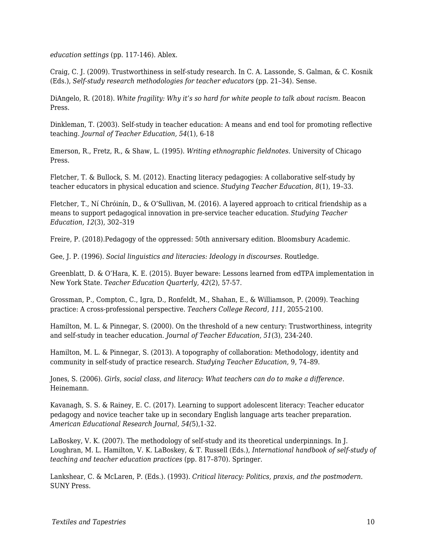*education settings* (pp. 117-146). Ablex.

Craig, C. J. (2009). Trustworthiness in self-study research. In C. A. Lassonde, S. Galman, & C. Kosnik (Eds.), *Self-study research methodologies for teacher educators* (pp. 21–34). Sense.

DiAngelo, R. (2018). *White fragility: Why it's so hard for white people to talk about racism.* Beacon Press.

Dinkleman, T. (2003). Self-study in teacher education: A means and end tool for promoting reflective teaching. *Journal of Teacher Education, 54*(1), 6-18

Emerson, R., Fretz, R., & Shaw, L. (1995). *Writing ethnographic fieldnotes.* University of Chicago Press.

Fletcher, T. & Bullock, S. M. (2012). Enacting literacy pedagogies: A collaborative self-study by teacher educators in physical education and science. *Studying Teacher Education, 8*(1), 19–33.

Fletcher, T., Ní Chróinín, D., & O'Sullivan, M. (2016). A layered approach to critical friendship as a means to support pedagogical innovation in pre-service teacher education. *Studying Teacher Education, 12*(3), 302–319

Freire, P. (2018).Pedagogy of the oppressed: 50th anniversary edition. Bloomsbury Academic.

Gee, J. P. (1996). *Social linguistics and literacies: Ideology in discourses.* Routledge.

Greenblatt, D. & O'Hara, K. E. (2015). Buyer beware: Lessons learned from edTPA implementation in New York State. *Teacher Education Quarterly, 42*(2), 57-57.

Grossman, P., Compton, C., Igra, D., Ronfeldt, M., Shahan, E., & Williamson, P. (2009). Teaching practice: A cross-professional perspective. *Teachers College Record, 111,* 2055-2100.

Hamilton, M. L. & Pinnegar, S. (2000). On the threshold of a new century: Trustworthiness, integrity and self-study in teacher education. *Journal of Teacher Education, 51*(3), 234-240.

Hamilton, M. L. & Pinnegar, S. (2013). A topography of collaboration: Methodology, identity and community in self-study of practice research. *Studying Teacher Education,* 9, 74–89.

Jones, S. (2006). *Girls, social class, and literacy: What teachers can do to make a difference*. Heinemann.

Kavanagh, S. S. & Rainey, E. C. (2017). Learning to support adolescent literacy: Teacher educator pedagogy and novice teacher take up in secondary English language arts teacher preparation. *American Educational Research Journal, 54(*5),1-32.

LaBoskey, V. K. (2007). The methodology of self-study and its theoretical underpinnings. In J. Loughran, M. L. Hamilton, V. K. LaBoskey, & T. Russell (Eds.), *International handbook of self-study of teaching and teacher education practices* (pp. 817–870). Springer.

Lankshear, C. & McLaren, P. (Eds.). (1993). *Critical literacy: Politics, praxis, and the postmodern.* SUNY Press.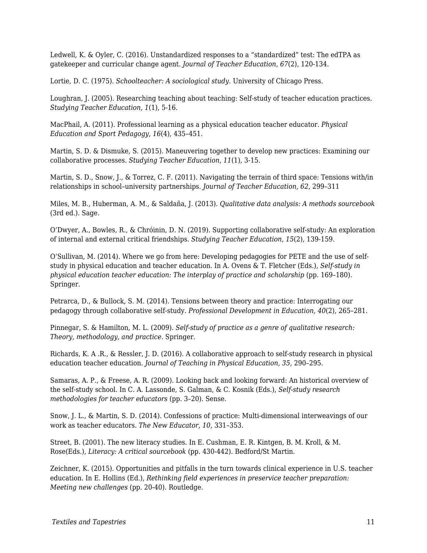Ledwell, K. & Oyler, C. (2016). Unstandardized responses to a "standardized" test: The edTPA as gatekeeper and curricular change agent. *Journal of Teacher Education, 67*(2), 120-134.

Lortie, D. C. (1975). *Schoolteacher: A sociological study.* University of Chicago Press.

Loughran, J. (2005). Researching teaching about teaching: Self-study of teacher education practices. *Studying Teacher Education, 1*(1), 5-16.

MacPhail, A. (2011). Professional learning as a physical education teacher educator. *Physical Education and Sport Pedagogy, 16*(4), 435–451.

Martin, S. D. & Dismuke, S. (2015). Maneuvering together to develop new practices: Examining our collaborative processes. *Studying Teacher Education, 11*(1), 3-15.

Martin, S. D., Snow, J., & Torrez, C. F. (2011). Navigating the terrain of third space: Tensions with/in relationships in school–university partnerships. *Journal of Teacher Education, 62*, 299–311

Miles, M. B., Huberman, A. M., & Saldaña, J. (2013). *Qualitative data analysis: A methods sourcebook* (3rd ed.)*.* Sage.

O'Dwyer, A., Bowles, R., & Chróinin, D. N. (2019). Supporting collaborative self-study: An exploration of internal and external critical friendships. *Studying Teacher Education, 15*(2), 139-159.

O'Sullivan, M. (2014). Where we go from here: Developing pedagogies for PETE and the use of selfstudy in physical education and teacher education. In A. Ovens & T. Fletcher (Eds.), *Self-study in physical education teacher education: The interplay of practice and scholarship (pp. 169-180).* Springer.

Petrarca, D., & Bullock, S. M. (2014). Tensions between theory and practice: Interrogating our pedagogy through collaborative self-study. *Professional Development in Education, 40*(2), 265–281.

Pinnegar, S. & Hamilton, M. L. (2009). *Self-study of practice as a genre of qualitative research: Theory, methodology, and practice.* Springer.

Richards, K. A .R., & Ressler, J. D. (2016). A collaborative approach to self-study research in physical education teacher education. *Journal of Teaching in Physical Education, 35,* 290–295.

Samaras, A. P., & Freese, A. R. (2009). Looking back and looking forward: An historical overview of the self-study school. In C. A. Lassonde, S. Galman, & C. Kosnik (Eds.), *Self-study research methodologies for teacher educators* (pp. 3–20). Sense.

Snow, J. L., & Martin, S. D. (2014). Confessions of practice: Multi-dimensional interweavings of our work as teacher educators. *The New Educator, 10*, 331–353.

Street, B. (2001). The new literacy studies. In E. Cushman, E. R. Kintgen, B. M. Kroll, & M. Rose(Eds.), *Literacy: A critical sourcebook* (pp. 430-442)*.* Bedford/St Martin.

Zeichner, K. (2015). Opportunities and pitfalls in the turn towards clinical experience in U.S. teacher education. In E. Hollins (Ed.), *Rethinking field experiences in preservice teacher preparation: Meeting new challenges* (pp. 20-40). Routledge.